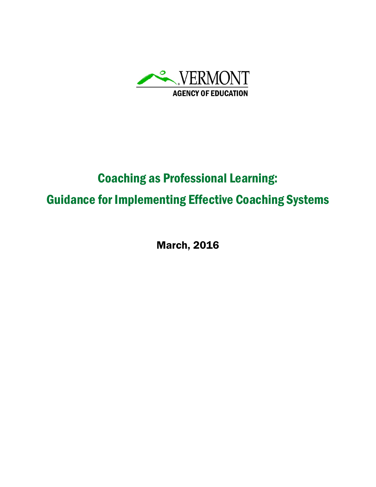

# Coaching as Professional Learning: Guidance for Implementing Effective Coaching Systems

March, 2016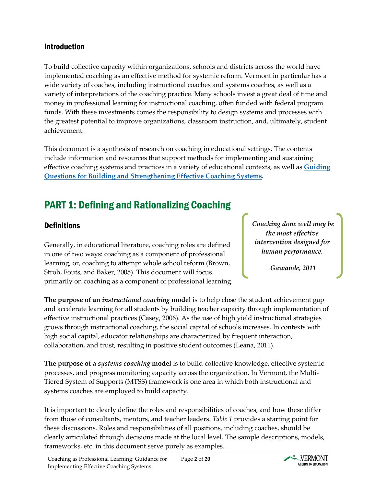## Introduction

To build collective capacity within organizations, schools and districts across the world have implemented coaching as an effective method for systemic reform. Vermont in particular has a wide variety of coaches, including instructional coaches and systems coaches, as well as a variety of interpretations of the coaching practice. Many schools invest a great deal of time and money in professional learning for instructional coaching, often funded with federal program funds. With these investments comes the responsibility to design systems and processes with the greatest potential to improve organizations, classroom instruction, and, ultimately, student achievement.

This document is a synthesis of research on coaching in educational settings. The contents include information and resources that support methods for implementing and sustaining effective coaching systems and practices in a variety of educational contexts, as well as **[Guiding](https://docs.google.com/document/d/1PcYp2mGei3WgmoCD0glTavRBZ20ml5OtRB3B9RAsgLA/edit?usp=sharing)  [Questions for Building and Strengthening Effective Coaching Systems.](https://docs.google.com/document/d/1PcYp2mGei3WgmoCD0glTavRBZ20ml5OtRB3B9RAsgLA/edit?usp=sharing)**

## PART 1: Defining and Rationalizing Coaching

## **Definitions**

Generally, in educational literature, coaching roles are defined in one of two ways: coaching as a component of professional learning, or, coaching to attempt whole school reform (Brown, Stroh, Fouts, and Baker, 2005). This document will focus primarily on coaching as a component of professional learning. *Coaching done well may be the most effective intervention designed for human performance.*

*Gawande, 2011*

**The purpose of an** *instructional coaching* **model** is to help close the student achievement gap and accelerate learning for all students by building teacher capacity through implementation of effective instructional practices (Casey, 2006). As the use of high yield instructional strategies grows through instructional coaching, the social capital of schools increases. In contexts with high social capital, educator relationships are characterized by frequent interaction, collaboration, and trust, resulting in positive student outcomes (Leana, 2011).

**The purpose of a** *systems coaching* **model** is to build collective knowledge, effective systemic processes, and progress monitoring capacity across the organization. In Vermont, the Multi-Tiered System of Supports (MTSS) framework is one area in which both instructional and systems coaches are employed to build capacity.

It is important to clearly define the roles and responsibilities of coaches, and how these differ from those of consultants, mentors, and teacher leaders. *Table 1* provides a starting point for these discussions. Roles and responsibilities of all positions, including coaches, should be clearly articulated through decisions made at the local level. The sample descriptions, models, frameworks, etc. in this document serve purely as examples.

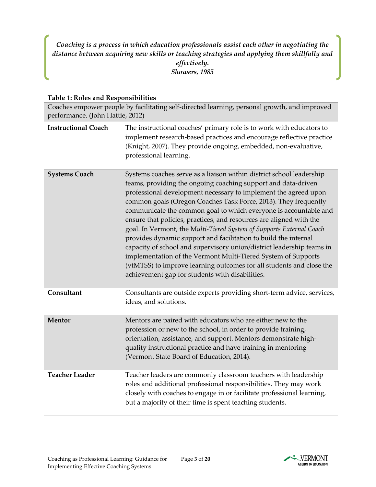*Coaching is a process in which education professionals assist each other in negotiating the distance between acquiring new skills or teaching strategies and applying them skillfully and effectively. Showers, 1985*

#### **Table 1: Roles and Responsibilities**

| Coaches empower people by facilitating self-directed learning, personal growth, and improved<br>performance. (John Hattie, 2012) |                                                                                                                                                                                                                                                                                                                                                                                                                                                                                                                                                                                                                                                                                                                                                                                                                                        |
|----------------------------------------------------------------------------------------------------------------------------------|----------------------------------------------------------------------------------------------------------------------------------------------------------------------------------------------------------------------------------------------------------------------------------------------------------------------------------------------------------------------------------------------------------------------------------------------------------------------------------------------------------------------------------------------------------------------------------------------------------------------------------------------------------------------------------------------------------------------------------------------------------------------------------------------------------------------------------------|
| <b>Instructional Coach</b>                                                                                                       | The instructional coaches' primary role is to work with educators to<br>implement research-based practices and encourage reflective practice<br>(Knight, 2007). They provide ongoing, embedded, non-evaluative,<br>professional learning.                                                                                                                                                                                                                                                                                                                                                                                                                                                                                                                                                                                              |
| <b>Systems Coach</b>                                                                                                             | Systems coaches serve as a liaison within district school leadership<br>teams, providing the ongoing coaching support and data-driven<br>professional development necessary to implement the agreed upon<br>common goals (Oregon Coaches Task Force, 2013). They frequently<br>communicate the common goal to which everyone is accountable and<br>ensure that policies, practices, and resources are aligned with the<br>goal. In Vermont, the Multi-Tiered System of Supports External Coach<br>provides dynamic support and facilitation to build the internal<br>capacity of school and supervisory union/district leadership teams in<br>implementation of the Vermont Multi-Tiered System of Supports<br>(vtMTSS) to improve learning outcomes for all students and close the<br>achievement gap for students with disabilities. |
| Consultant                                                                                                                       | Consultants are outside experts providing short-term advice, services,<br>ideas, and solutions.                                                                                                                                                                                                                                                                                                                                                                                                                                                                                                                                                                                                                                                                                                                                        |
| Mentor                                                                                                                           | Mentors are paired with educators who are either new to the<br>profession or new to the school, in order to provide training,<br>orientation, assistance, and support. Mentors demonstrate high-<br>quality instructional practice and have training in mentoring<br>(Vermont State Board of Education, 2014).                                                                                                                                                                                                                                                                                                                                                                                                                                                                                                                         |
| <b>Teacher Leader</b>                                                                                                            | Teacher leaders are commonly classroom teachers with leadership<br>roles and additional professional responsibilities. They may work<br>closely with coaches to engage in or facilitate professional learning,<br>but a majority of their time is spent teaching students.                                                                                                                                                                                                                                                                                                                                                                                                                                                                                                                                                             |

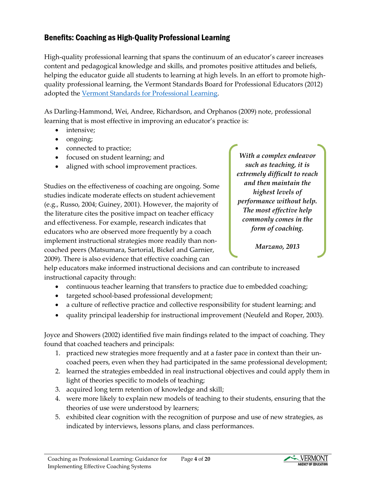## Benefits: Coaching as High-Quality Professional Learning

High-quality professional learning that spans the continuum of an educator's career increases content and pedagogical knowledge and skills, and promotes positive attitudes and beliefs, helping the educator guide all students to learning at high levels. In an effort to promote highquality professional learning, the Vermont Standards Board for Professional Educators (2012) adopted the [Vermont Standards for Professional Learning.](http://education.vermont.gov/documents/EDU_Professional_Learning_Standards.pdf)

As Darling-Hammond, Wei, Andree, Richardson, and Orphanos (2009) note, professional learning that is most effective in improving an educator's practice is:

- intensive;
- ongoing;
- connected to practice;
- focused on student learning; and
- aligned with school improvement practices.

Studies on the effectiveness of coaching are ongoing. Some studies indicate moderate effects on student achievement (e.g., Russo, 2004; Guiney, 2001). However, the majority of the literature cites the positive impact on teacher efficacy and effectiveness. For example, research indicates that educators who are observed more frequently by a coach implement instructional strategies more readily than noncoached peers (Matsumara, Sartorial, Bickel and Garnier, 2009). There is also evidence that effective coaching can

*With a complex endeavor such as teaching, it is extremely difficult to reach and then maintain the highest levels of performance without help. The most effective help commonly comes in the form of coaching.*

*Marzano, 2013*

help educators make informed instructional decisions and can contribute to increased instructional capacity through:

- continuous teacher learning that transfers to practice due to embedded coaching;
- targeted school-based professional development;
- a culture of reflective practice and collective responsibility for student learning; and
- quality principal leadership for instructional improvement (Neufeld and Roper, 2003).

Joyce and Showers (2002) identified five main findings related to the impact of coaching. They found that coached teachers and principals:

- 1. practiced new strategies more frequently and at a faster pace in context than their uncoached peers, even when they had participated in the same professional development;
- 2. learned the strategies embedded in real instructional objectives and could apply them in light of theories specific to models of teaching;
- 3. acquired long term retention of knowledge and skill;
- 4. were more likely to explain new models of teaching to their students, ensuring that the theories of use were understood by learners;
- 5. exhibited clear cognition with the recognition of purpose and use of new strategies, as indicated by interviews, lessons plans, and class performances.

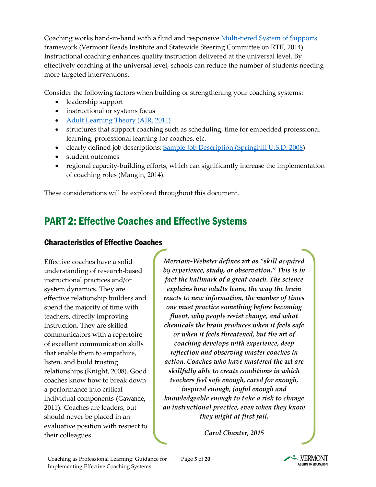Coaching works hand-in-hand with a fluid and responsive [Multi-tiered System of Supports](http://www.vriuvm.org/MTSS-RtII/wp-content/uploads/2014/06/MTSS-RtII-SelfAssessment-062014.pdf) framework (Vermont Reads Institute and Statewide Steering Committee on RTII, 2014). Instructional coaching enhances quality instruction delivered at the universal level. By effectively coaching at the universal level, schools can reduce the number of students needing more targeted interventions.

Consider the following factors when building or strengthening your coaching systems:

- leadership support
- instructional or systems focus
- [Adult Learning Theory](https://teal.ed.gov/sites/default/files/Fact-Sheets/11_%20TEAL_Adult_Learning_Theory.pdf) (AIR, 2011)
- structures that support coaching such as scheduling, time for embedded professional learning, professional learning for coaches, etc.
- clearly defined job descriptions[: Sample Job Description](https://www.usd230.org/upload/4bc48f7986dc1.pdf) (Springhill U.S.D, 2008)
- student outcomes
- regional capacity-building efforts, which can significantly increase the implementation of coaching roles (Mangin, 2014).

These considerations will be explored throughout this document.

## PART 2: Effective Coaches and Effective Systems

## Characteristics of Effective Coaches

Effective coaches have a solid understanding of research-based instructional practices and/or system dynamics. They are effective relationship builders and spend the majority of time with teachers, directly improving instruction. They are skilled communicators with a repertoire of excellent communication skills that enable them to empathize, listen, and build trusting relationships (Knight, 2008). Good coaches know how to break down a performance into critical individual components (Gawande, 2011). Coaches are leaders, but should never be placed in an evaluative position with respect to their colleagues.

*Merriam-Webster defines* **art** *as "skill acquired by experience, study, or observation." This is in fact the hallmark of a great coach. The science explains how adults learn, the way the brain reacts to new information, the number of times one must practice something before becoming fluent, why people resist change, and what chemicals the brain produces when it feels safe or when it feels threatened, but the* **art** *of coaching develops with experience, deep reflection and observing master coaches in action. Coaches who have mastered the* **art** *are skillfully able to create conditions in which teachers feel safe enough, cared for enough, inspired enough, joyful enough and knowledgeable enough to take a risk to change an instructional practice, even when they know they might at first fail.*

*Carol Chanter, 2015*

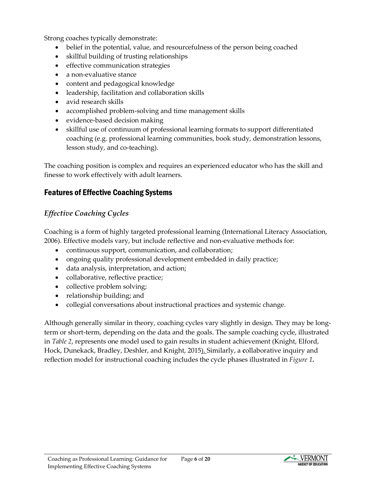Strong coaches typically demonstrate:

- belief in the potential, value, and resourcefulness of the person being coached
- skillful building of trusting relationships
- effective communication strategies
- a non-evaluative stance
- content and pedagogical knowledge
- leadership, facilitation and collaboration skills
- avid research skills
- accomplished problem-solving and time management skills
- evidence-based decision making
- skillful use of continuum of professional learning formats to support differentiated coaching (e.g. professional learning communities, book study, demonstration lessons, lesson study, and co-teaching).

The coaching position is complex and requires an experienced educator who has the skill and finesse to work effectively with adult learners.

## Features of Effective Coaching Systems

## *Effective Coaching Cycles*

Coaching is a form of highly targeted professional learning (International Literacy Association, 2006). Effective models vary, but include reflective and non-evaluative methods for:

- continuous support, communication, and collaboration;
- ongoing quality professional development embedded in daily practice;
- data analysis, interpretation, and action;
- collaborative, reflective practice;
- collective problem solving;
- relationship building; and
- collegial conversations about instructional practices and systemic change.

Although generally similar in theory, coaching cycles vary slightly in design. They may be longterm or short-term, depending on the data and the goals. The sample coaching cycle, illustrated in *Table 2*, represents one model used to gain results in student achievement (Knight, Elford, Hock, Dunekack, Bradley, Deshler, and Knight, 2015). Similarly, a **c**ollaborative inquiry and reflection model for instructional coaching includes the cycle phases illustrated in *Figure 1***.** 

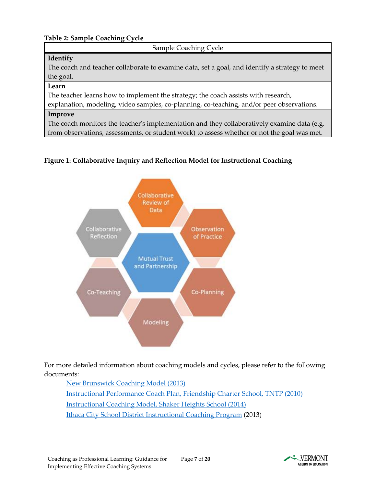#### **Table 2: Sample Coaching Cycle**

Sample Coaching Cycle

#### **Identify**

The coach and teacher collaborate to examine data, set a goal, and identify a strategy to meet the goal.

#### **Learn**

The teacher learns how to implement the strategy; the coach assists with research,

explanation, modeling, video samples, co-planning, co-teaching, and/or peer observations.

#### **Improve**

The coach monitors the teacher's implementation and they collaboratively examine data (e.g. from observations, assessments, or student work) to assess whether or not the goal was met.

#### **Figure 1: Collaborative Inquiry and Reflection Model for Instructional Coaching**



For more detailed information about coaching models and cycles, please refer to the following documents:

[New Brunswick Coaching Model](http://tmyles.weebly.com/uploads/2/6/2/6/26261249/nb_instructional_coaching_model.pdf) (2013) [Instructional Performance Coach Plan, Friendship Charter School, TNTP \(2010\)](http://tntp.org/assets/tools/FPCS_Coaching_Model_at_Friendship_Public_Charter_School_TSLT_0311.pdf) [Instructional Coaching Model,](http://www.shaker.org/Downloads/Instructional%20Coaching%20Model%20(2).pdf) Shaker Heights School (2014) [Ithaca City School District Instructional Coaching Program](http://www.cornellglobalsolutions.com/wp-content/uploads/2013/08/Ithaca-City-School-District-Final-Report.pdf) (2013)

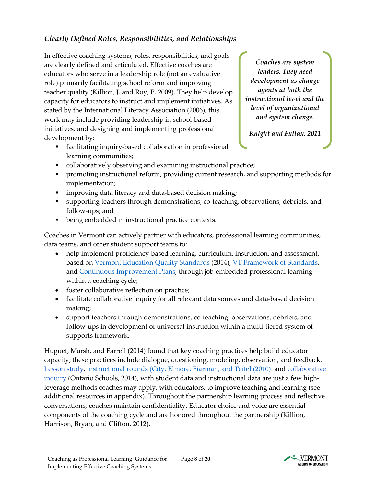## *Clearly Defined Roles, Responsibilities, and Relationships*

In effective coaching systems, roles, responsibilities, and goals are clearly defined and articulated. Effective coaches are educators who serve in a leadership role (not an evaluative role) primarily facilitating school reform and improving teacher quality (Killion, J. and Roy, P. 2009). They help develop capacity for educators to instruct and implement initiatives. As stated by the International Literacy Association (2006), this work may include providing leadership in school-based initiatives, and designing and implementing professional development by:

 facilitating inquiry-based collaboration in professional learning communities;

*Coaches are system leaders. They need development as change agents at both the instructional level and the level of organizational and system change.*

*Knight and Fullan, 2011*

- collaboratively observing and examining instructional practice;
- **•** promoting instructional reform, providing current research, and supporting methods for implementation;
- **improving data literacy and data-based decision making;**
- supporting teachers through demonstrations, co-teaching, observations, debriefs, and follow-ups; and
- being embedded in instructional practice contexts.

Coaches in Vermont can actively partner with educators, professional learning communities, data teams, and other student support teams to:

- help implement proficiency-based learning, curriculum, instruction, and assessment, based on [Vermont Education Quality Standards](http://education.vermont.gov/documents/EDU-FinalEQS_AsAdopted.pdf) (2014), [VT Framework of Standards,](http://education.vermont.gov/documents/framework.pdf) and [Continuous Improvement Plans,](http://education.vermont.gov/school-effectiveness) through job-embedded professional learning within a coaching cycle;
- foster collaborative reflection on practice;
- facilitate collaborative inquiry for all relevant data sources and data-based decision making;
- support teachers through demonstrations, co-teaching, observations, debriefs, and follow-ups in development of universal instruction within a multi-tiered system of supports framework.

Huguet, Marsh, and Farrell (2014) found that key coaching practices help build educator capacity; these practices include dialogue, questioning, modeling, observation, and feedback. [Lesson study,](http://www.lessonresearch.net/index.html) [instructional rounds](http://hepg.org/hel-home/issues/25_3/helarticle/improving-teaching-and-learning-through-instructio) (City, Elmore, Fiarman, and Teitel (2010) and [collaborative](https://www.edu.gov.on.ca/eng/literacynumeracy/inspire/research/CBS_CollaborativeInquiry.pdf)  [inquiry](https://www.edu.gov.on.ca/eng/literacynumeracy/inspire/research/CBS_CollaborativeInquiry.pdf) (Ontario Schools, 2014), with student data and instructional data are just a few highleverage methods coaches may apply, with educators, to improve teaching and learning (see additional resources in appendix). Throughout the partnership learning process and reflective conversations, coaches maintain confidentiality. Educator choice and voice are essential components of the coaching cycle and are honored throughout the partnership (Killion, Harrison, Bryan, and Clifton, 2012).



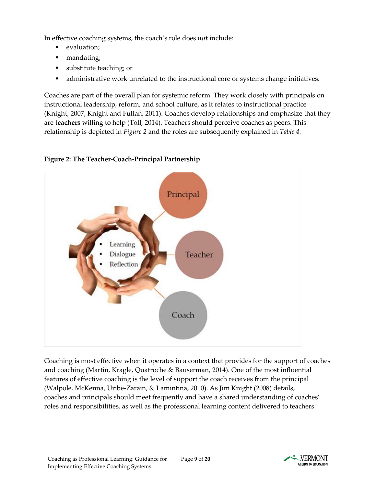In effective coaching systems, the coach's role does *not* include:

- evaluation;
- mandating;
- substitute teaching; or
- administrative work unrelated to the instructional core or systems change initiatives.

Coaches are part of the overall plan for systemic reform. They work closely with principals on instructional leadership, reform, and school culture, as it relates to instructional practice (Knight, 2007; Knight and Fullan, 2011). Coaches develop relationships and emphasize that they are **teachers** willing to help (Toll, 2014). Teachers should perceive coaches as peers. This relationship is depicted in *Figure 2* and the roles are subsequently explained in *Table 4.*

## **Figure 2: The Teacher-Coach-Principal Partnership**



Coaching is most effective when it operates in a context that provides for the support of coaches and coaching (Martin, Kragle, Quatroche & Bauserman, 2014). One of the most influential features of effective coaching is the level of support the coach receives from the principal (Walpole, McKenna, Uribe-Zarain, & Lamintina, 2010). As Jim Knight (2008) details, coaches and principals should meet frequently and have a shared understanding of coaches' roles and responsibilities, as well as the professional learning content delivered to teachers.

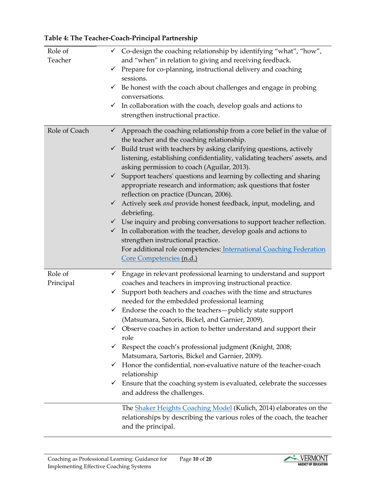#### **Table 4: The Teacher-Coach-Principal Partnership**

| Role of<br>Teacher   | $\checkmark$ Co-design the coaching relationship by identifying "what", "how",<br>and "when" in relation to giving and receiving feedback.<br>Prepare for co-planning, instructional delivery and coaching<br>$\checkmark$<br>sessions.<br>Be honest with the coach about challenges and engage in probing<br>$\checkmark$<br>conversations.<br>In collaboration with the coach, develop goals and actions to<br>$\checkmark$<br>strengthen instructional practice.                                                                                                                                                                                                                                                                                                                                                                                                      |
|----------------------|--------------------------------------------------------------------------------------------------------------------------------------------------------------------------------------------------------------------------------------------------------------------------------------------------------------------------------------------------------------------------------------------------------------------------------------------------------------------------------------------------------------------------------------------------------------------------------------------------------------------------------------------------------------------------------------------------------------------------------------------------------------------------------------------------------------------------------------------------------------------------|
| Role of Coach        | Approach the coaching relationship from a core belief in the value of<br>$\checkmark$<br>the teacher and the coaching relationship.<br>Build trust with teachers by asking clarifying questions, actively<br>$\checkmark$<br>listening, establishing confidentiality, validating teachers' assets, and<br>asking permission to coach (Aguilar, 2013).<br>Support teachers' questions and learning by collecting and sharing<br>$\checkmark$<br>appropriate research and information; ask questions that foster<br>reflection on practice (Duncan, 2006).<br>Actively seek and provide honest feedback, input, modeling, and<br>$\checkmark$<br>debriefing.<br>$\checkmark$ Use inquiry and probing conversations to support teacher reflection.<br>In collaboration with the teacher, develop goals and actions to<br>$\checkmark$<br>strengthen instructional practice. |
|                      | For additional role competencies: International Coaching Federation<br>Core Competencies (n.d.)                                                                                                                                                                                                                                                                                                                                                                                                                                                                                                                                                                                                                                                                                                                                                                          |
| Role of<br>Principal | Engage in relevant professional learning to understand and support<br>✓<br>coaches and teachers in improving instructional practice.<br>Support both teachers and coaches with the time and structures<br>$\checkmark$<br>needed for the embedded professional learning<br>Endorse the coach to the teachers-publicly state support<br>$\checkmark$<br>(Matsumara, Satoris, Bickel, and Garnier, 2009).<br>Observe coaches in action to better understand and support their<br>role<br>Respect the coach's professional judgment (Knight, 2008;<br>$\checkmark$<br>Matsumara, Sartoris, Bickel and Garnier, 2009).<br>Honor the confidential, non-evaluative nature of the teacher-coach<br>✓<br>relationship<br>$\checkmark$ Ensure that the coaching system is evaluated, celebrate the successes<br>and address the challenges.                                       |
|                      | The <b>Shaker Heights Coaching Model</b> (Kulich, 2014) elaborates on the<br>relationships by describing the various roles of the coach, the teacher<br>and the principal.                                                                                                                                                                                                                                                                                                                                                                                                                                                                                                                                                                                                                                                                                               |

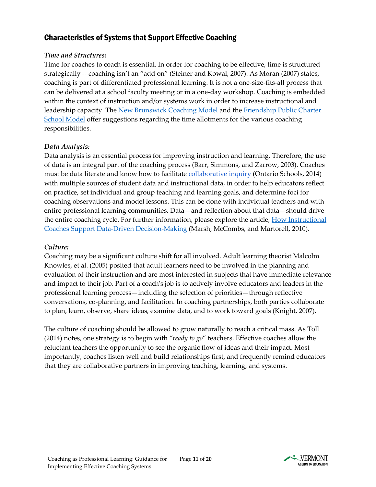## Characteristics of Systems that Support Effective Coaching

#### *Time and Structures:*

Time for coaches to coach is essential. In order for coaching to be effective, time is structured strategically -- coaching isn't an "add on" (Steiner and Kowal, 2007). As Moran (2007) states, coaching is part of differentiated professional learning. It is not a one-size-fits-all process that can be delivered at a school faculty meeting or in a one-day workshop. Coaching is embedded within the context of instruction and/or systems work in order to increase instructional and leadership capacity. The [New Brunswick Coaching Model](http://tmyles.weebly.com/uploads/2/6/2/6/26261249/nb_instructional_coaching_model.pdf) and the Friendship Public Charter [School Model](http://tntp.org/assets/tools/FPCS_Coaching_Model_at_Friendship_Public_Charter_School_TSLT_0311.pdf) offer suggestions regarding the time allotments for the various coaching responsibilities.

#### *Data Analysis:*

Data analysis is an essential process for improving instruction and learning. Therefore, the use of data is an integral part of the coaching process (Barr, Simmons, and Zarrow, 2003). Coaches must be data literate and know how to facilitate [collaborative inquiry](https://www.edu.gov.on.ca/eng/literacynumeracy/inspire/research/CBS_CollaborativeInquiry.pdf) (Ontario Schools, 2014) with multiple sources of student data and instructional data, in order to help educators reflect on practice, set individual and group teaching and learning goals, and determine foci for coaching observations and model lessons. This can be done with individual teachers and with entire professional learning communities. Data—and reflection about that data—should drive the entire coaching cycle. For further information, please explore the article, How Instructional [Coaches Support Data-Driven Decision-Making](https://www.academia.edu/1984289/How_instructional_coaches_support_data-driven_decision_making) (Marsh, McCombs, and Martorell, 2010).

### *Culture:*

Coaching may be a significant culture shift for all involved. Adult learning theorist Malcolm Knowles, et al. (2005) posited that adult learners need to be involved in the planning and evaluation of their instruction and are most interested in subjects that have immediate relevance and impact to their job. Part of a coach's job is to actively involve educators and leaders in the professional learning process—including the selection of priorities—through reflective conversations, co-planning, and facilitation. In coaching partnerships, both parties collaborate to plan, learn, observe, share ideas, examine data, and to work toward goals (Knight, 2007).

The culture of coaching should be allowed to grow naturally to reach a critical mass. As Toll (2014) notes, one strategy is to begin with "*ready to go*" teachers. Effective coaches allow the reluctant teachers the opportunity to see the organic flow of ideas and their impact. Most importantly, coaches listen well and build relationships first, and frequently remind educators that they are collaborative partners in improving teaching, learning, and systems.



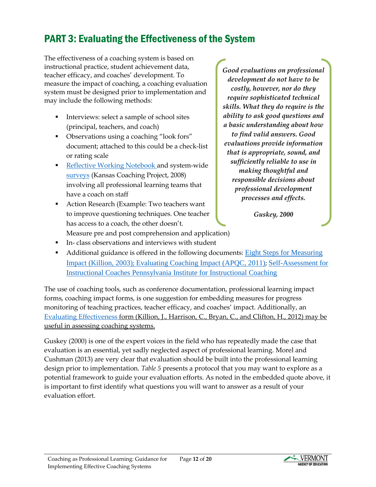## PART 3: Evaluating the Effectiveness of the System

The effectiveness of a coaching system is based on instructional practice, student achievement data, teacher efficacy, and coaches' development. To measure the impact of coaching, a coaching evaluation system must be designed prior to implementation and may include the following methods:

- Interviews: select a sample of school sites (principal, teachers, and coach)
- Observations using a coaching "look fors" document; attached to this could be a check-list or rating scale
- [Reflective Working Notebook](http://www.instructionalcoach.org/images/downloads/forms/afterAction.pdf) and syst[e](http://www.instructionalcoach.org/images/downloads/tools/coaching_survey2.1.pdf)m-wide [surveys](http://www.instructionalcoach.org/images/downloads/tools/coaching_survey2.1.pdf) (Kansas Coaching Project, 2008) involving all professional learning teams that have a coach on staff
- **Action Research (Example: Two teachers want** to improve questioning techniques. One teacher has access to a coach, the other doesn't.

*Good evaluations on professional development do not have to be costly, however, nor do they require sophisticated technical skills. What they do require is the ability to ask good questions and a basic understanding about how to find valid answers. Good evaluations provide information that is appropriate, sound, and sufficiently reliable to use in making thoughtful and responsible decisions about professional development processes and effects.*

*Guskey, 2000*

- Measure pre and post comprehension and application)
- In- class observations and interviews with student
- Additional guidance is offered in the following documents: [Eight Steps for Measuring](http://si2013planning.ncdpi.wikispaces.net/file/view/Steps+to+your+own+evaluation+(Killion).pdf)  [Impact \(](http://si2013planning.ncdpi.wikispaces.net/file/view/Steps+to+your+own+evaluation+(Killion).pdf)Killion, 2003); [Evaluating Coaching Impact](http://www.apqceducation.org/knowledge-base/download-documents/cat_view/72-benchmarking-research/71-evaluating-the-impact-of-instructional-coaching-on-teaching-and-learning) (APQC, 2011); [Self-Assessment for](http://instructionalcoach.iu1.wikispaces.net/file/view/Activity.Self+Assessment+for+Instructional+Coaches.pdf)  [Instructional Coaches Pennsylvania Institute for Instructional Coaching](http://instructionalcoach.iu1.wikispaces.net/file/view/Activity.Self+Assessment+for+Instructional+Coaches.pdf)

The use of coaching tools, such as conference documentation, professional learning impact forms, coaching impact forms, is one suggestion for embedding measures for progress monitoring of teaching practices, teacher efficacy, and coaches' impact. Additionally, an [Evaluating Effectiveness](http://learningforward.org/docs/coachingmatters/killiontoolch11-4.pdf) form (Killion, J., Harrison, C., Bryan, C., and Clifton, H., 2012) may be useful in assessing coaching systems.

Guskey (2000) is one of the expert voices in the field who has repeatedly made the case that evaluation is an essential, yet sadly neglected aspect of professional learning. Morel and Cushman (2013) are very clear that evaluation should be built into the professional learning design prior to implementation. *Table 5* presents a protocol that you may want to explore as a potential framework to guide your evaluation efforts. As noted in the embedded quote above, it is important to first identify what questions you will want to answer as a result of your evaluation effort.

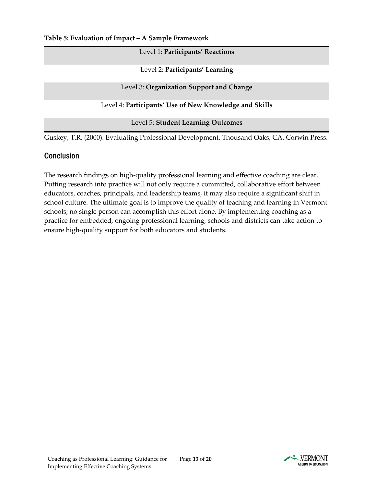**Table 5: Evaluation of Impact – A Sample Framework** 

#### Level 1: **Participants' Reactions**

Level 2: **Participants' Learning**

Level 3: **Organization Support and Change**

Level 4: **Participants' Use of New Knowledge and Skills**

Level 5: **Student Learning Outcomes**

Guskey, T.R. (2000). Evaluating Professional Development. Thousand Oaks, CA. Corwin Press.

## **Conclusion**

The research findings on high-quality professional learning and effective coaching are clear. Putting research into practice will not only require a committed, collaborative effort between educators, coaches, principals, and leadership teams, it may also require a significant shift in school culture. The ultimate goal is to improve the quality of teaching and learning in Vermont schools; no single person can accomplish this effort alone. By implementing coaching as a practice for embedded, ongoing professional learning, schools and districts can take action to ensure high-quality support for both educators and students.



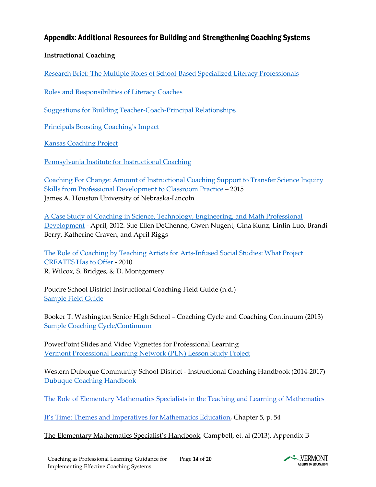## Appendix: Additional Resources for Building and Strengthening Coaching Systems

#### **Instructional Coaching**

[Research Brief: The Multiple Roles of School-Based Specialized Literacy Professionals](http://www.literacyworldwide.org/docs/default-source/where-we-stand/literacy-professionals-research-brief.pdf)

[Roles and Responsibilities of Literacy Coaches](http://www.sedl.org/pubs/sedl-letter/v17n01/literacy-coaches.html)

[Suggestions for Building Teacher-Coach-Principal Relationships](http://www.tri-association.org/uploaded/conferences/2014_costarica/handouts/cindy_harrison-coaching_matters_1.pdf)

[Principals Boosting Coaching's Impact](http://learningforward.org/docs/default-source/jsd-february-2015/principals-boost-coaching)

[Kansas Coaching Project](http://www.instructionalcoach.org/)

[Pennsylvania Institute for Instructional Coaching](http://piic.pacoaching.org/index.php/piic-home)

[Coaching For Change: Amount of Instructional Coaching Support to Transfer Science Inquiry](http://digitalcommons.unl.edu/cgi/viewcontent.cgi?article=1231&context=cehsedaddiss)  [Skills from Professional Development to Classroom Practice](http://digitalcommons.unl.edu/cgi/viewcontent.cgi?article=1231&context=cehsedaddiss) – 2015 James A. Houston University of Nebraska-Lincoln

[A Case Study of Coaching in Science, Technology, Engineering, and Math Professional](http://files.eric.ed.gov/fulltext/ED538874.pdf)  [Development](http://files.eric.ed.gov/fulltext/ED538874.pdf) - April, 2012. Sue Ellen DeChenne, Gwen Nugent, Gina Kunz, Linlin Luo, Brandi Berry, Katherine Craven, and April Riggs

[The Role of Coaching by Teaching Artists for Arts-Infused Social Studies: What Project](http://escholarship.org/uc/item/6mw9s8qs)  [CREATES Has to Offer](http://escholarship.org/uc/item/6mw9s8qs) - 2010 R. Wilcox, S. Bridges, & D. Montgomery

Poudre School District Instructional Coaching Field Guide (n.d.) [Sample Field Guide](https://www.psdschools.org/webfm/9005)

Booker T. Washington Senior High School – Coaching Cycle and Coaching Continuum (2013) [Sample Coaching Cycle/Continuum](http://teacherleaders.ncdpi.wikispaces.net/file/view/AA142-UG01-GEN+(3).pdf)

PowerPoint Slides and Video Vignettes for Professional Learning [Vermont Professional Learning Network \(PLN\) Lesson Study Project](https://sites.google.com/a/vermontpln.org/reflective-practice-modules/home)

Western Dubuque Community School District - Instructional Coaching Handbook (2014-2017) [Dubuque Coaching Handbook](http://images.pcmac.org/Uploads/WesternDubuque/WesternDubuque/Departments/PagesLevel1/Documents/Instructional%20Coaching%20Handbook%202%204%2015.pdf)

[The Role of Elementary Mathematics Specialists in the Teaching and Learning of Mathematics](http://www.nctm.org/uploadedFiles/Standards_and_Positions/Position_Statements/EMS%20Joint%20Position%20Statement.pdf)

[It's Time: Themes and Imperatives for Mathematics Education,](http://go.solution-tree.com/mathematics) Chapter 5, p. 54

The Elementary Mathematics Specialist's Handbook, Campbell, et. al (2013), Appendix B

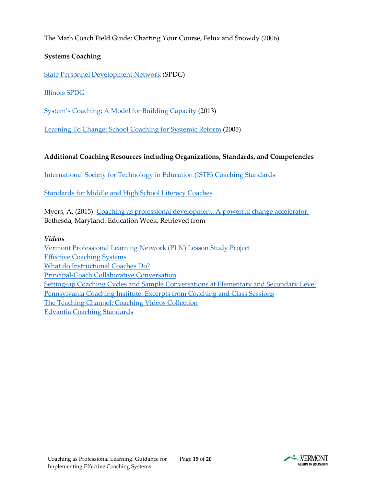### The Math Coach Field Guide: Charting Your Course, Felux and Snowdy (2006)

### **Systems Coaching**

[State Personnel Development Network](http://www.signetwork.org/content_pages/222-coaching) (SPDG)

[Illinois SPDG](http://www.illinoisrti.org/i-rti-network/for-coaches)

[System's Coaching: A Model for Building Capacity](http://flpbs.fmhi.usf.edu/pdfs/SystemsCoaching.pdf) (2013)

[Learning To Change: School Coaching for Systemic Reform](http://spu.edu/orgs/research/Learning%20to%20Change%204-5-05.pdf) (2005)

#### **Additional Coaching Resources including Organizations, Standards, and Competencies**

[International Society for Technology in Education \(ISTE\) Coaching Standards](http://www.iste.org/docs/pdfs/20-14_iste_standards-c_pdf.pdf)

[Standards for Middle and High School Literacy Coaches](http://www.ncte.org/library/NCTEFiles/Resources/Positions/coaching_standards.pdf)

Myers, A. (2015). [Coaching as professional development: A powerful change accelerator.](http://blogs.edweek.org/edweek/leadership_360/2015/07/coaching_as_professional_development_a_powerful_change_accelerator.html?r=1631853008) Bethesda, Maryland: Education Week. Retrieved from

*Videos*

[Vermont Professional Learning Network \(PLN\) Lesson Study Project](https://sites.google.com/a/vermontpln.org/reflective-practice-modules/home) [Effective Coaching Systems](https://www.teachingchannel.org/videos/district-wide-coaching-system) [What do Instructional Coaches Do?](https://www.youtube.com/watch?v=-DIM2ypSIXI) [Principal-Coach Collaborative Conversation](https://youtu.be/D2VAccGkaNI) [Setting-up Coaching Cycles and Sample Conversations at Elementary and Secondary Level](https://dianesweeney.com/our-videos-podcasts/) [Pennsylvania Coaching Institute: Excerpts from Coaching and Class Sessions](http://piic.pacoaching.org/index.php/resources/piic-videos/199-videos) [The Teaching Channel: Coaching Videos Collection](https://www.teachingchannel.org/videos?page=1&categories=topics_coaching&load=1) [Edvantia Coaching Standards](https://www.youtube.com/watch?v=PZQpdW9jmiM)



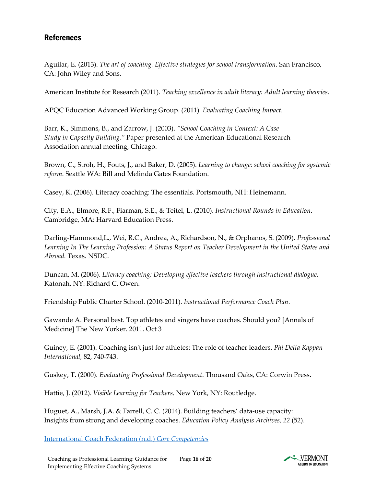### **References**

Aguilar, E. (2013). *The art of coaching. Effective strategies for school transformation*. San Francisco, CA: John Wiley and Sons.

American Institute for Research (2011). *Teaching excellence in adult literacy: Adult learning theories.*

APQC Education Advanced Working Group. (2011). *Evaluating Coaching Impact.*

Barr, K., Simmons, B., and Zarrow, J. (2003). *"School Coaching in Context: A Case Study in Capacity Building."* Paper presented at the American Educational Research Association annual meeting, Chicago.

Brown, C., Stroh, H., Fouts, J., and Baker, D. (2005). *Learning to change: school coaching for systemic reform.* Seattle WA: Bill and Melinda Gates Foundation.

Casey, K. (2006). Literacy coaching: The essentials. Portsmouth, NH: Heinemann.

City, E.A., Elmore, R.F., Fiarman, S.E., & Teitel, L. (2010). *Instructional Rounds in Education*. Cambridge, MA: Harvard Education Press.

Darling-Hammond,L., Wei, R.C., Andrea, A., Richardson, N., & Orphanos, S. (2009). *Professional Learning In The Learning Profession: A Status Report on Teacher Development in the United States and Abroad.* Texas. NSDC.

Duncan, M. (2006). *Literacy coaching: Developing effective teachers through instructional dialogue.* Katonah, NY: Richard C. Owen.

Friendship Public Charter School. (2010-2011). *Instructional Performance Coach Plan*.

Gawande A. Personal best. Top athletes and singers have coaches. Should you? [Annals of Medicine] The New Yorker. 2011. Oct 3

Guiney, E. (2001). Coaching isn't just for athletes: The role of teacher leaders. *Phi Delta Kappan International,* 82, 740-743.

Guskey, T. (2000). *Evaluating Professional Development*. Thousand Oaks, CA: Corwin Press.

Hattie, J. (2012). *Visible Learning for Teachers,* New York, NY: Routledge.

Huguet, A., Marsh, J.A. & Farrell, C. C. (2014). Building teachers' data-use capacity: Insights from strong and developing coaches. *Education Policy Analysis Archives, 22* (52).

[International Coach Federation \(n.d.\)](http://coachfederation.org/credential/landing.cfm?ItemNumber=2206) *Core Competencies*

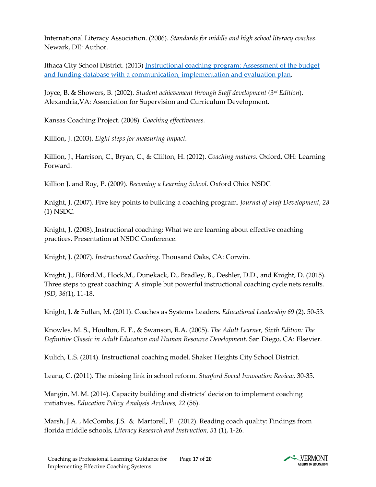International Literacy Association. (2006). *Standards for middle and high school literacy coaches*. Newark, DE: Author.

Ithaca City School District. (2013) [Instructional coaching program: Assessment of the budget](http://www.cornellglobalsolutions.com/wp-content/uploads/2013/08/Ithaca-City-School-District-Final-Report.pdf)  [and funding database with a communication, implementation and evaluation plan.](http://www.cornellglobalsolutions.com/wp-content/uploads/2013/08/Ithaca-City-School-District-Final-Report.pdf)

Joyce, B. & Showers, B. (2002). *Student achievement through Staff development (3rd Edition*). Alexandria,VA: Association for Supervision and Curriculum Development.

Kansas Coaching Project. (2008). *Coaching effectiveness.*

Killion, J. (2003). *Eight steps for measuring impact.*

Killion, J., Harrison, C., Bryan, C., & Clifton, H. (2012). *Coaching matters.* Oxford, OH: Learning Forward.

Killion J. and Roy, P. (2009). *Becoming a Learning School.* Oxford Ohio: NSDC

Knight, J. (2007). Five key points to building a coaching program. *Journal of Staff Development, 28*  (1) NSDC.

Knight, J. (2008). Instructional coaching: What we are learning about effective coaching practices. Presentation at NSDC Conference.

Knight, J. (2007). *Instructional Coaching*. Thousand Oaks, CA: Corwin.

Knight, J., Elford,M., Hock,M., Dunekack, D., Bradley, B., Deshler, D.D., and Knight, D. (2015). Three steps to great coaching: A simple but powerful instructional coaching cycle nets results. *JSD, 36(*1), 11-18.

Knight, J. & Fullan, M. (2011). Coaches as Systems Leaders. *Educational Leadership 69* (2). 50-53.

Knowles, M. S., Houlton, E. F., & Swanson, R.A. (2005). *The Adult Learner, Sixth Edition: The Definitive Classic in Adult Education and Human Resource Development.* San Diego, CA: Elsevier.

Kulich, L.S. (2014). Instructional coaching model. Shaker Heights City School District.

Leana, C. (2011). The missing link in school reform. *Stanford Social Innovation Review*, 30-35.

Mangin, M. M. (2014). Capacity building and districts' decision to implement coaching initiatives. *Education Policy Analysis Archives, 22* (56).

Marsh, J.A. , McCombs, J.S. & Martorell, F. (2012). Reading coach quality: Findings from florida middle schools, *Literacy Research and Instruction, 51* (1), 1-26.

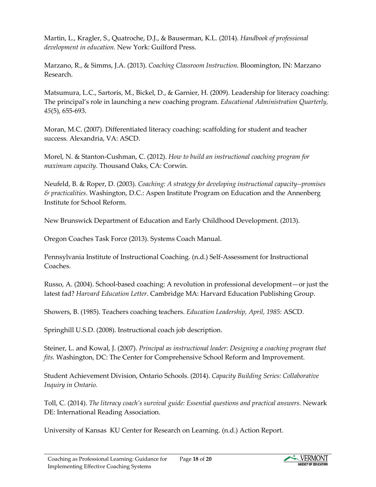Martin, L., Kragler, S., Quatroche, D.J., & Bauserman, K.L. (2014). *Handbook of professional development in education.* New York: Guilford Press.

Marzano, R., & Simms, J.A. (2013). *Coaching Classroom Instruction*. Bloomington, IN: Marzano Research.

Matsumura, L.C., Sartoris, M., Bickel, D., & Garnier, H. (2009). Leadership for literacy coaching: The principal's role in launching a new coaching program. *Educational Administration Quarterly, 45*(5), 655-693.

Moran, M.C. (2007). Differentiated literacy coaching: scaffolding for student and teacher success. Alexandria, VA: ASCD.

Morel, N. & Stanton-Cushman, C. (2012). *How to build an instructional coaching program for maximum capacity.* Thousand Oaks, CA: Corwin.

Neufeld, B. & Roper, D. (2003). *Coaching: A strategy for developing instructional capacity--promises & practicalities*. Washington, D.C.: Aspen Institute Program on Education and the Annenberg Institute for School Reform.

New Brunswick Department of Education and Early Childhood Development. (2013).

Oregon Coaches Task Force (2013). Systems Coach Manual.

Pennsylvania Institute of Instructional Coaching. (n.d.) Self-Assessment for Instructional Coaches.

Russo, A. (2004). School-based coaching: A revolution in professional development—or just the latest fad? *Harvard Education Letter*. Cambridge MA: Harvard Education Publishing Group.

Showers, B. (1985). Teachers coaching teachers. *Education Leadership, April, 1985*: ASCD.

Springhill U.S.D. (2008). Instructional coach job description.

Steiner, L. and Kowal, J. (2007). *Principal as instructional leader: Designing a coaching program that fits.* Washington, DC: The Center for Comprehensive School Reform and Improvement.

Student Achievement Division, Ontario Schools. (2014). *Capacity Building Series: Collaborative Inquiry in Ontario.* 

Toll, C. (2014). *The literacy coach's survival guide: Essential questions and practical answers.* Newark DE: International Reading Association.

University of Kansas KU Center for Research on Learning. (n.d.) Action Report.

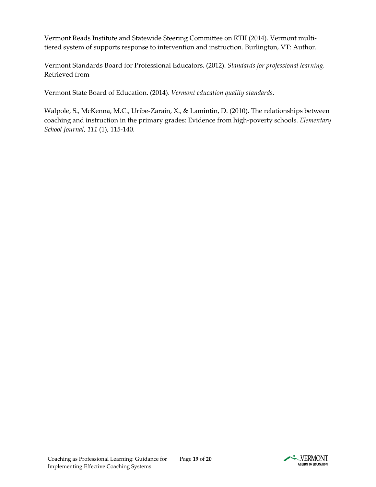Vermont Reads Institute and Statewide Steering Committee on RTII (2014). Vermont multitiered system of supports response to intervention and instruction. Burlington, VT: Author.

Vermont Standards Board for Professional Educators. (2012). *Standards for professional learning.* Retrieved from

Vermont State Board of Education. (2014). *Vermont education quality standards*.

Walpole, S., McKenna, M.C., Uribe-Zarain, X., & Lamintin, D. (2010). The relationships between coaching and instruction in the primary grades: Evidence from high-poverty schools. *Elementary School Journal, 111* (1), 115-140.